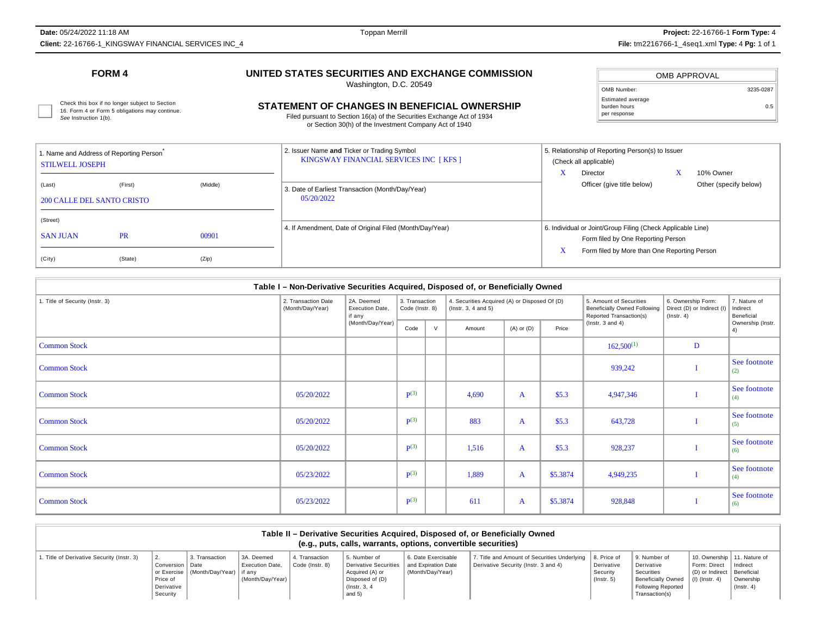**Date:** 05/24/2022 11:18 AM**Client:** 22-16766-1\_KINGSWAY FINANCIAL SERVICES INC\_4 **File:** tm2216766-1\_4seq1.xml **Type:** 4 **Pg:** 1 of 1

## **FORM 4**

## **UNITED STATES SECURITIES AND EXCHANGE COMMISSION**

Washington, D.C. 20549

| OMB APPROVAL                                      |           |
|---------------------------------------------------|-----------|
| OMB Number:                                       | 3235-0287 |
| Estimated average<br>burden hours<br>per response | 0.5       |

16. Form 4 or Form 5 obligations may continue. See Instruction 1(b).

# Check this box if no longer subject to Section<br>16. Form 4 or Form 5 obligations may continue. **CHANGES IN BENEFICIAL OWNERSHIP** Durden hours builden hours and continue.

Filed pursuant to Section 16(a) of the Securities Exchange Act of 1934or Section 30(h) of the Investment Company Act of 1940

| 1. Name and Address of Reporting Person<br><b>STILWELL JOSEPH</b> |           |          | 2. Issuer Name and Ticker or Trading Symbol<br>KINGSWAY FINANCIAL SERVICES INC [KFS ] | 5. Relationship of Reporting Person(s) to Issuer<br>(Check all applicable)                        |
|-------------------------------------------------------------------|-----------|----------|---------------------------------------------------------------------------------------|---------------------------------------------------------------------------------------------------|
| (Last)<br><b>200 CALLE DEL SANTO CRISTO</b>                       | (First)   | (Middle) | 3. Date of Earliest Transaction (Month/Day/Year)<br>05/20/2022                        | 10% Owner<br>Director<br>Officer (give title below)<br>Other (specify below)                      |
| (Street)<br><b>SAN JUAN</b>                                       | <b>PR</b> | 00901    | 4. If Amendment, Date of Original Filed (Month/Day/Year)                              | 6. Individual or Joint/Group Filing (Check Applicable Line)<br>Form filed by One Reporting Person |
| (City)                                                            | (State)   | (Zip)    |                                                                                       | Form filed by More than One Reporting Person                                                      |

| Table I - Non-Derivative Securities Acquired, Disposed of, or Beneficially Owned |                                         |                                         |                                   |   |                                                                            |                |          |                                                                                    |                                                                      |                                        |
|----------------------------------------------------------------------------------|-----------------------------------------|-----------------------------------------|-----------------------------------|---|----------------------------------------------------------------------------|----------------|----------|------------------------------------------------------------------------------------|----------------------------------------------------------------------|----------------------------------------|
| 1. Title of Security (Instr. 3)                                                  | 2. Transaction Date<br>(Month/Day/Year) | 2A. Deemed<br>Execution Date.<br>if any | 3. Transaction<br>Code (Instr. 8) |   | 4. Securities Acquired (A) or Disposed Of (D)<br>$($ lnstr. 3, 4 and 5 $)$ |                |          | 5. Amount of Securities<br>Beneficially Owned Following<br>Reported Transaction(s) | 6. Ownership Form:<br>Direct (D) or Indirect (I)<br>$($ lnstr. 4 $)$ | 7. Nature of<br>Indirect<br>Beneficial |
|                                                                                  |                                         | (Month/Day/Year)                        | Code                              | V | Amount                                                                     | $(A)$ or $(D)$ | Price    | ( $lnstr. 3 and 4$ )                                                               |                                                                      | Ownership (Instr.<br>4)                |
| <b>Common Stock</b>                                                              |                                         |                                         |                                   |   |                                                                            |                |          | $162,500^{(1)}$                                                                    | D                                                                    |                                        |
| <b>Common Stock</b>                                                              |                                         |                                         |                                   |   |                                                                            |                |          | 939,242                                                                            |                                                                      | See footnote<br>(2)                    |
| <b>Common Stock</b>                                                              | 05/20/2022                              |                                         | $\mathbf{p}(3)$                   |   | 4,690                                                                      | A              | \$5.3    | 4,947,346                                                                          |                                                                      | See footnote<br>(4)                    |
| <b>Common Stock</b>                                                              | 05/20/2022                              |                                         | $\mathbf{P}^{(3)}$                |   | 883                                                                        | A              | \$5.3    | 643,728                                                                            |                                                                      | See footnote<br>(5)                    |
| <b>Common Stock</b>                                                              | 05/20/2022                              |                                         | $\mathbf{p}(3)$                   |   | 1,516                                                                      | $\mathbf{A}$   | \$5.3    | 928,237                                                                            |                                                                      | See footnote<br>(6)                    |
| <b>Common Stock</b>                                                              | 05/23/2022                              |                                         | $\mathbf{p}(3)$                   |   | 1,889                                                                      | $\mathbf{A}$   | \$5.3874 | 4,949,235                                                                          |                                                                      | See footnote<br>(4)                    |
| <b>Common Stock</b>                                                              | 05/23/2022                              |                                         | $\mathbf{p}(3)$                   |   | 611                                                                        | A              | \$5.3874 | 928,848                                                                            |                                                                      | See footnote<br>(6)                    |

| Table II – Derivative Securities Acquired, Disposed of, or Beneficially Owned<br>(e.g., puts, calls, warrants, options, convertible securities) |                                                         |                                                           |                                                          |                                   |                                                                                                          |                                                                |                                                                                                    |                                       |                                                                                                                      |                                                                                                              |                               |
|-------------------------------------------------------------------------------------------------------------------------------------------------|---------------------------------------------------------|-----------------------------------------------------------|----------------------------------------------------------|-----------------------------------|----------------------------------------------------------------------------------------------------------|----------------------------------------------------------------|----------------------------------------------------------------------------------------------------|---------------------------------------|----------------------------------------------------------------------------------------------------------------------|--------------------------------------------------------------------------------------------------------------|-------------------------------|
| . Title of Derivative Security (Instr. 3)                                                                                                       | Conversion   Date<br>Price of<br>Derivative<br>Security | 3. Transaction<br>or Exercise   (Month/Day/Year)   if any | 3A. Deemed<br><b>Execution Date.</b><br>(Month/Dav/Year) | 4. Transaction<br>Code (Instr. 8) | 5. Number of<br>Derivative Securities<br>Acquired (A) or<br>Disposed of (D)<br>(Instr. 3, 4)<br>and $5)$ | 6. Date Exercisable<br>and Expiration Date<br>(Month/Day/Year) | 7. Title and Amount of Securities Underlying   8. Price of<br>Derivative Security (Instr. 3 and 4) | Derivative<br>Security<br>(Insert. 5) | 9. Number of<br>Derivative<br>Securities<br><b>Beneficially Owned</b><br><b>Following Reported</b><br>Transaction(s) | 10. Ownership   11. Nature of<br>Form: Direct   Indirect<br>(D) or Indirect   Beneficial<br>$(l)$ (lnstr, 4) | Ownership<br>$($ lnstr. 4 $)$ |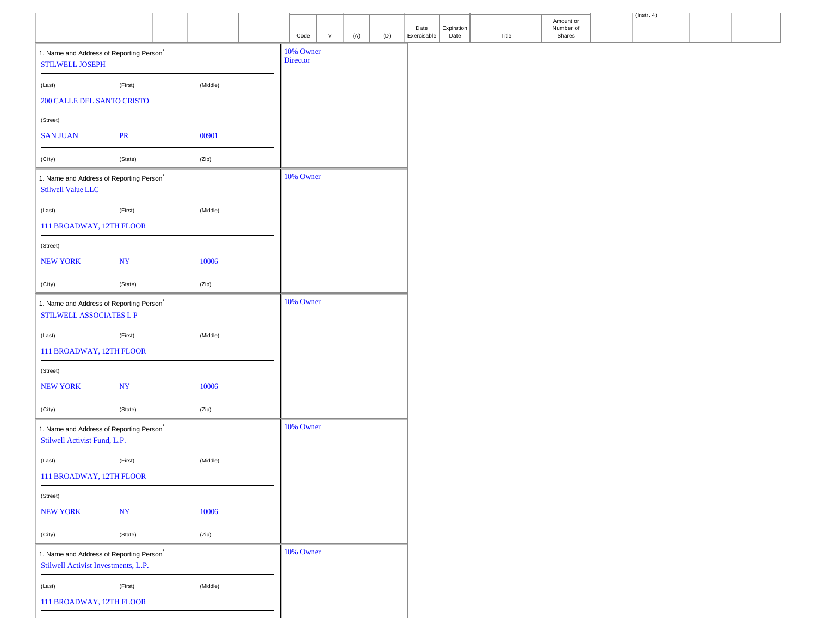|                                                                                 |             |          |           |        |     |     |                     |                    |       |                                  | $\vert$ (lnstr. 4) |  |
|---------------------------------------------------------------------------------|-------------|----------|-----------|--------|-----|-----|---------------------|--------------------|-------|----------------------------------|--------------------|--|
|                                                                                 |             |          | Code      | $\vee$ | (A) | (D) | Date<br>Exercisable | Expiration<br>Date | Title | Amount or<br>Number of<br>Shares |                    |  |
| 1. Name and Address of Reporting Person <sup>*</sup>                            |             |          | 10% Owner |        |     |     |                     |                    |       |                                  |                    |  |
| <b>STILWELL JOSEPH</b>                                                          |             |          | Director  |        |     |     |                     |                    |       |                                  |                    |  |
| (Last)                                                                          | (First)     | (Middle) |           |        |     |     |                     |                    |       |                                  |                    |  |
| <b>200 CALLE DEL SANTO CRISTO</b>                                               |             |          |           |        |     |     |                     |                    |       |                                  |                    |  |
|                                                                                 |             |          |           |        |     |     |                     |                    |       |                                  |                    |  |
| (Street)<br><b>SAN JUAN</b>                                                     | PR          | 00901    |           |        |     |     |                     |                    |       |                                  |                    |  |
|                                                                                 |             |          |           |        |     |     |                     |                    |       |                                  |                    |  |
| (City)                                                                          | (State)     | (Zip)    |           |        |     |     |                     |                    |       |                                  |                    |  |
| 1. Name and Address of Reporting Person <sup>*</sup>                            |             |          | 10% Owner |        |     |     |                     |                    |       |                                  |                    |  |
| Stilwell Value LLC                                                              |             |          |           |        |     |     |                     |                    |       |                                  |                    |  |
| (Last)                                                                          | (First)     | (Middle) |           |        |     |     |                     |                    |       |                                  |                    |  |
| 111 BROADWAY, 12TH FLOOR                                                        |             |          |           |        |     |     |                     |                    |       |                                  |                    |  |
| (Street)                                                                        |             |          |           |        |     |     |                     |                    |       |                                  |                    |  |
| <b>NEW YORK</b>                                                                 | $\bold{NY}$ | 10006    |           |        |     |     |                     |                    |       |                                  |                    |  |
|                                                                                 |             |          |           |        |     |     |                     |                    |       |                                  |                    |  |
| (City)                                                                          | (State)     | (Zip)    |           |        |     |     |                     |                    |       |                                  |                    |  |
| 1. Name and Address of Reporting Person <sup>*</sup><br>STILWELL ASSOCIATES L P |             |          | 10% Owner |        |     |     |                     |                    |       |                                  |                    |  |
|                                                                                 |             |          |           |        |     |     |                     |                    |       |                                  |                    |  |
| (Last)                                                                          | (First)     | (Middle) |           |        |     |     |                     |                    |       |                                  |                    |  |
| 111 BROADWAY, 12TH FLOOR                                                        |             |          |           |        |     |     |                     |                    |       |                                  |                    |  |
| (Street)                                                                        |             |          |           |        |     |     |                     |                    |       |                                  |                    |  |
| <b>NEW YORK</b>                                                                 | $\bold{NY}$ | 10006    |           |        |     |     |                     |                    |       |                                  |                    |  |
| (City)                                                                          | (State)     | (Zip)    |           |        |     |     |                     |                    |       |                                  |                    |  |
| 1. Name and Address of Reporting Person <sup>*</sup>                            |             |          | 10% Owner |        |     |     |                     |                    |       |                                  |                    |  |
| Stilwell Activist Fund, L.P.                                                    |             |          |           |        |     |     |                     |                    |       |                                  |                    |  |
| (Last)                                                                          | (First)     | (Middle) |           |        |     |     |                     |                    |       |                                  |                    |  |
| 111 BROADWAY, 12TH FLOOR                                                        |             |          |           |        |     |     |                     |                    |       |                                  |                    |  |
|                                                                                 |             |          |           |        |     |     |                     |                    |       |                                  |                    |  |
| (Street)<br><b>NEW YORK</b>                                                     | <b>NY</b>   | 10006    |           |        |     |     |                     |                    |       |                                  |                    |  |
|                                                                                 |             |          |           |        |     |     |                     |                    |       |                                  |                    |  |
| (City)                                                                          | (State)     | (Zip)    |           |        |     |     |                     |                    |       |                                  |                    |  |
| 1. Name and Address of Reporting Person <sup>*</sup>                            |             |          | 10% Owner |        |     |     |                     |                    |       |                                  |                    |  |
| Stilwell Activist Investments, L.P.                                             |             |          |           |        |     |     |                     |                    |       |                                  |                    |  |
| (Last)                                                                          | (First)     | (Middle) |           |        |     |     |                     |                    |       |                                  |                    |  |
| 111 BROADWAY, 12TH FLOOR                                                        |             |          |           |        |     |     |                     |                    |       |                                  |                    |  |
|                                                                                 |             |          |           |        |     |     |                     |                    |       |                                  |                    |  |